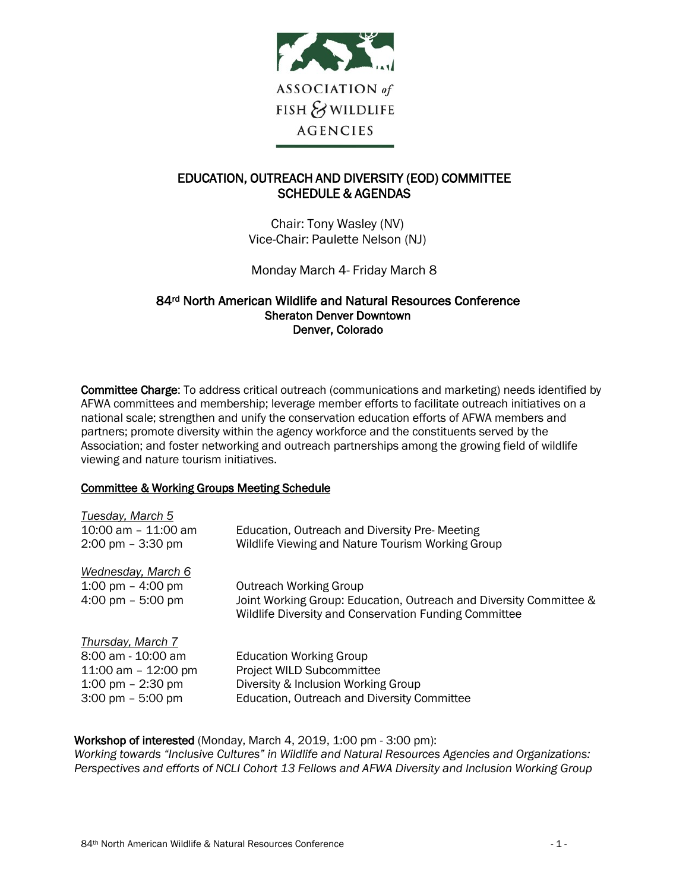

# EDUCATION, OUTREACH AND DIVERSITY (EOD) COMMITTEE SCHEDULE & AGENDAS

Chair: Tony Wasley (NV) Vice-Chair: Paulette Nelson (NJ)

Monday March 4- Friday March 8

## 84rd North American Wildlife and Natural Resources Conference Sheraton Denver Downtown Denver, Colorado

Committee Charge: To address critical outreach (communications and marketing) needs identified by AFWA committees and membership; leverage member efforts to facilitate outreach initiatives on a national scale; strengthen and unify the conservation education efforts of AFWA members and partners; promote diversity within the agency workforce and the constituents served by the Association; and foster networking and outreach partnerships among the growing field of wildlife viewing and nature tourism initiatives.

## Committee & Working Groups Meeting Schedule

| Tuesday, March 5<br>$10:00$ am $-11:00$ am<br>$2:00 \text{ pm} - 3:30 \text{ pm}$                                              | Education, Outreach and Diversity Pre-Meeting<br>Wildlife Viewing and Nature Tourism Working Group                                                           |
|--------------------------------------------------------------------------------------------------------------------------------|--------------------------------------------------------------------------------------------------------------------------------------------------------------|
| Wednesday, March 6<br>1:00 pm $-$ 4:00 pm<br>4:00 pm $-5:00$ pm                                                                | <b>Outreach Working Group</b><br>Joint Working Group: Education, Outreach and Diversity Committee &<br>Wildlife Diversity and Conservation Funding Committee |
| Thursday, March 7<br>8:00 am - 10:00 am<br>11:00 am $-$ 12:00 pm<br>1:00 pm $-$ 2:30 pm<br>$3:00 \text{ pm} - 5:00 \text{ pm}$ | <b>Education Working Group</b><br>Project WILD Subcommittee<br>Diversity & Inclusion Working Group<br>Education, Outreach and Diversity Committee            |

Workshop of interested (Monday, March 4, 2019, 1:00 pm - 3:00 pm):

*Working towards "Inclusive Cultures" in Wildlife and Natural Resources Agencies and Organizations: Perspectives and efforts of NCLI Cohort 13 Fellows and AFWA Diversity and Inclusion Working Group*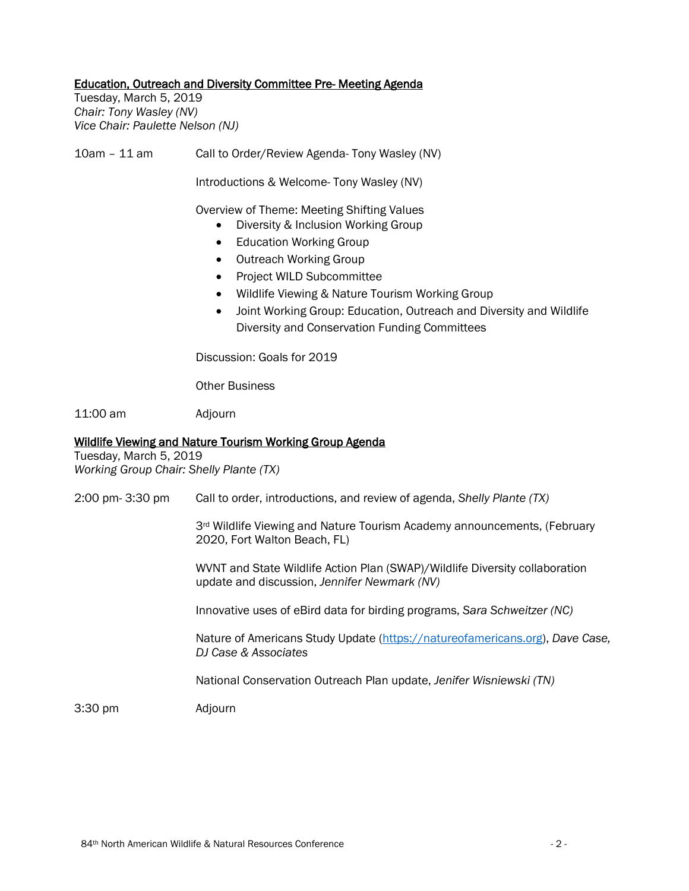### Education, Outreach and Diversity Committee Pre- Meeting Agenda

Tuesday, March 5, 2019 *Chair: Tony Wasley (NV) Vice Chair: Paulette Nelson (NJ)*

10am – 11 am Call to Order/Review Agenda- Tony Wasley (NV)

Introductions & Welcome- Tony Wasley (NV)

Overview of Theme: Meeting Shifting Values

- Diversity & Inclusion Working Group
- Education Working Group
- Outreach Working Group
- Project WILD Subcommittee
- Wildlife Viewing & Nature Tourism Working Group
- Joint Working Group: Education, Outreach and Diversity and Wildlife Diversity and Conservation Funding Committees

Discussion: Goals for 2019

Other Business

11:00 am Adjourn

#### Wildlife Viewing and Nature Tourism Working Group Agenda

Tuesday, March 5, 2019 *Working Group Chair: Shelly Plante (TX)*

2:00 pm- 3:30 pm Call to order, introductions, and review of agenda, *Shelly Plante (TX)*

3<sup>rd</sup> Wildlife Viewing and Nature Tourism Academy announcements, (February 2020, Fort Walton Beach, FL)

WVNT and State Wildlife Action Plan (SWAP)/Wildlife Diversity collaboration update and discussion, *Jennifer Newmark (NV)*

Innovative uses of eBird data for birding programs, *Sara Schweitzer (NC)*

Nature of Americans Study Update [\(https://natureofamericans.org\)](https://natureofamericans.org/), *Dave Case, DJ Case & Associates*

National Conservation Outreach Plan update, *Jenifer Wisniewski (TN)*

3:30 pm Adjourn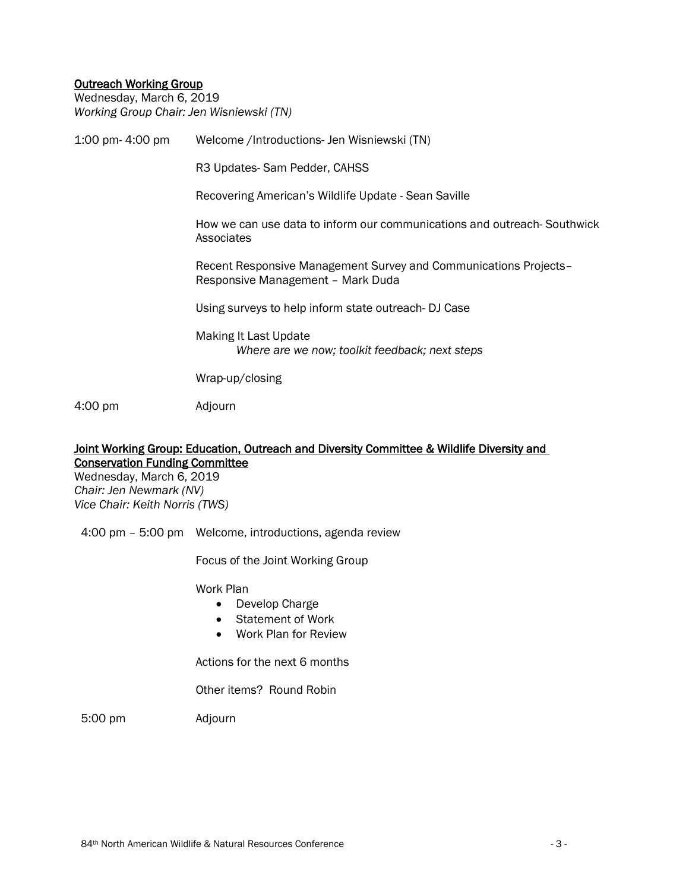## Outreach Working Group

Wednesday, March 6, 2019 *Working Group Chair: Jen Wisniewski (TN)*

| 1:00 pm- 4:00 pm | Welcome /Introductions- Jen Wisniewski (TN)                                                           |
|------------------|-------------------------------------------------------------------------------------------------------|
|                  | R3 Updates-Sam Pedder, CAHSS                                                                          |
|                  | Recovering American's Wildlife Update - Sean Saville                                                  |
|                  | How we can use data to inform our communications and outreach-Southwick<br>Associates                 |
|                  | Recent Responsive Management Survey and Communications Projects-<br>Responsive Management - Mark Duda |
|                  | Using surveys to help inform state outreach-DJ Case                                                   |
|                  | Making It Last Update<br>Where are we now; toolkit feedback; next steps                               |
|                  | Wrap-up/closing                                                                                       |
| 4:00 pm          | Adjourn                                                                                               |

## Joint Working Group: Education, Outreach and Diversity Committee & Wildlife Diversity and Conservation Funding Committee

Wednesday, March 6, 2019 *Chair: Jen Newmark (NV) Vice Chair: Keith Norris (TWS)*

4:00 pm – 5:00 pm Welcome, introductions, agenda review

Focus of the Joint Working Group

Work Plan

- Develop Charge
- Statement of Work
- Work Plan for Review

Actions for the next 6 months

Other items? Round Robin

5:00 pm Adjourn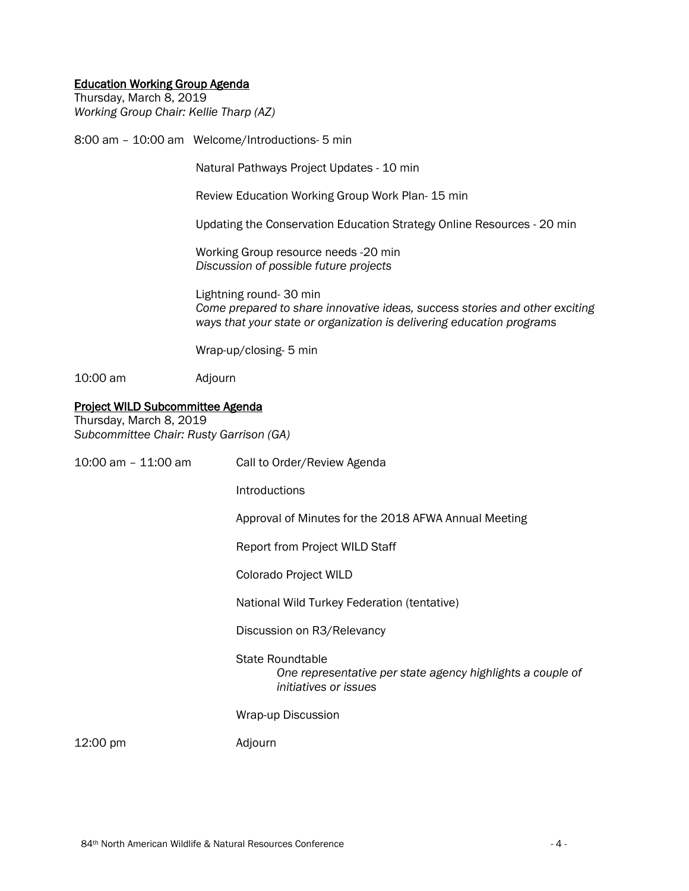### Education Working Group Agenda

Thursday, March 8, 2019 *Working Group Chair: Kellie Tharp (AZ)*

8:00 am – 10:00 am Welcome/Introductions- 5 min

Natural Pathways Project Updates - 10 min

Review Education Working Group Work Plan- 15 min

Updating the Conservation Education Strategy Online Resources - 20 min

Working Group resource needs -20 min *Discussion of possible future projects* 

Lightning round- 30 min *Come prepared to share innovative ideas, success stories and other exciting ways that your state or organization is delivering education programs*

Wrap-up/closing- 5 min

10:00 am Adjourn

#### Project WILD Subcommittee Agenda

Thursday, March 8, 2019 *Subcommittee Chair: Rusty Garrison (GA)*

| 10:00 am – 11:00 am | Call to Order/Review Agenda                                                                                    |
|---------------------|----------------------------------------------------------------------------------------------------------------|
|                     | Introductions                                                                                                  |
|                     | Approval of Minutes for the 2018 AFWA Annual Meeting                                                           |
|                     | <b>Report from Project WILD Staff</b>                                                                          |
|                     | Colorado Project WILD                                                                                          |
|                     | National Wild Turkey Federation (tentative)                                                                    |
|                     | Discussion on R3/Relevancy                                                                                     |
|                     | <b>State Roundtable</b><br>One representative per state agency highlights a couple of<br>initiatives or issues |
|                     | Wrap-up Discussion                                                                                             |
| 12:00 pm            | Adjourn                                                                                                        |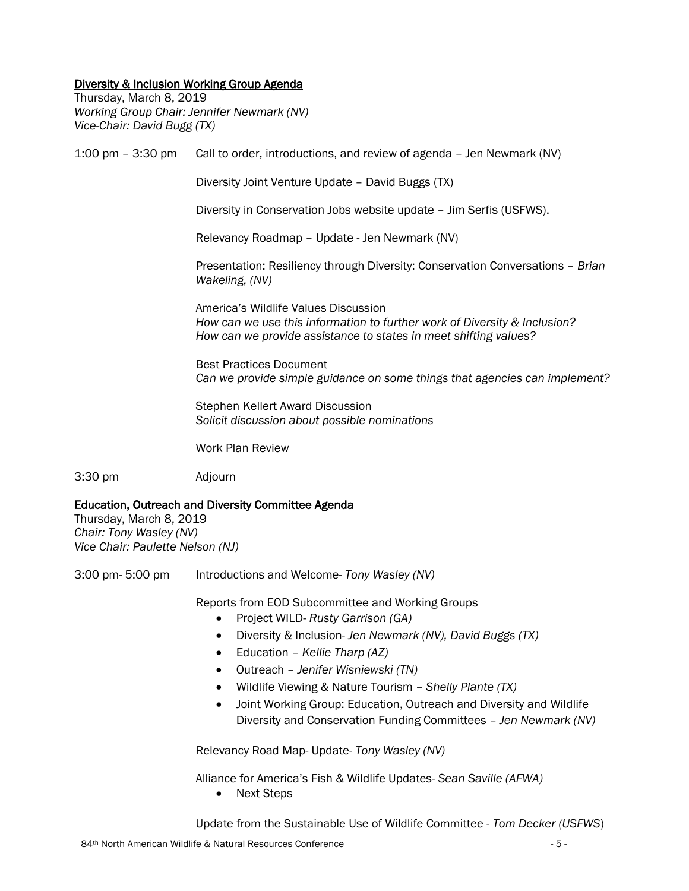## Diversity & Inclusion Working Group Agenda

Thursday, March 8, 2019 *Working Group Chair: Jennifer Newmark (NV) Vice-Chair: David Bugg (TX)*

1:00 pm – 3:30 pm Call to order, introductions, and review of agenda – Jen Newmark (NV)

Diversity Joint Venture Update – David Buggs (TX)

Diversity in Conservation Jobs website update – Jim Serfis (USFWS).

Relevancy Roadmap – Update - Jen Newmark (NV)

Presentation: Resiliency through Diversity: Conservation Conversations – *Brian Wakeling, (NV)*

America's Wildlife Values Discussion *How can we use this information to further work of Diversity & Inclusion? How can we provide assistance to states in meet shifting values?* 

Best Practices Document *Can we provide simple guidance on some things that agencies can implement?*

Stephen Kellert Award Discussion *Solicit discussion about possible nominations* 

Work Plan Review

3:30 pm Adjourn

### Education, Outreach and Diversity Committee Agenda

Thursday, March 8, 2019 *Chair: Tony Wasley (NV) Vice Chair: Paulette Nelson (NJ)*

3:00 pm- 5:00 pm Introductions and Welcome- *Tony Wasley (NV)*

Reports from EOD Subcommittee and Working Groups

- Project WILD- *Rusty Garrison (GA)*
- Diversity & Inclusion- *Jen Newmark (NV), David Buggs (TX)*
- Education *Kellie Tharp (AZ)*
- Outreach *Jenifer Wisniewski (TN)*
- Wildlife Viewing & Nature Tourism *Shelly Plante (TX)*
- Joint Working Group: Education, Outreach and Diversity and Wildlife Diversity and Conservation Funding Committees – *Jen Newmark (NV)*

Relevancy Road Map- Update- *Tony Wasley (NV)*

Alliance for America's Fish & Wildlife Updates- *Sean Saville (AFWA)*

• Next Steps

Update from the Sustainable Use of Wildlife Committee - *Tom Decker (USFWS*)